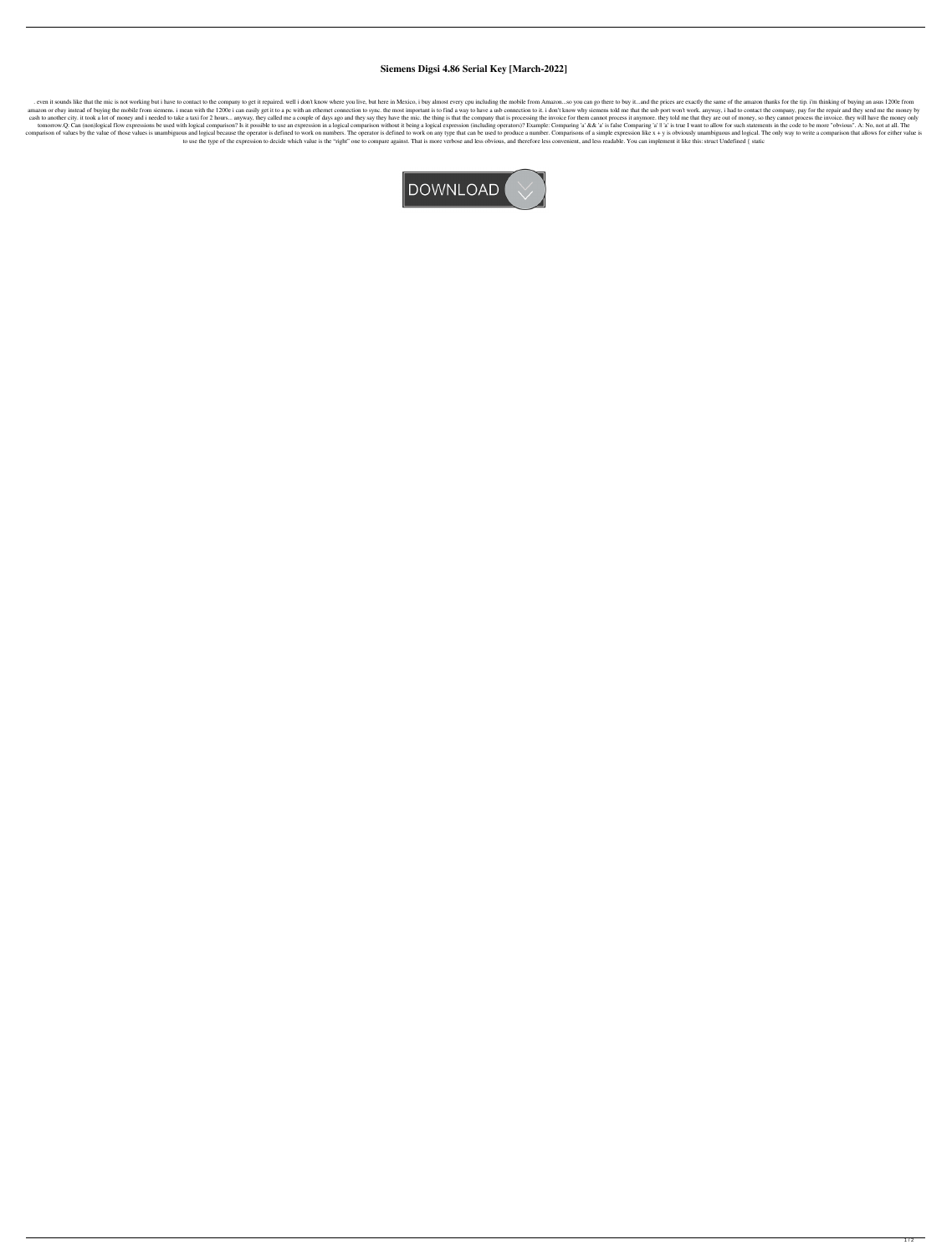## **Siemens Digsi 4.86 Serial Key [March-2022]**

. even it sounds like that the mic is not working but i have to contact to the company to get it repaired. well i don't know where you live, but here in Mexico, i buy almost every cpu including the mobile from Amazon...so amazon or ebay instead of buying the mobile from siemens. i mean with the 1200e i can easily get it to a pc with an ethernet connection to sync. the most important is to find a way to have a usb connection to it. i don't k cash to another city. it took a lot of money and i needed to take a taxi for 2 hours... anyway, they called me a couple of days ago and they say they have the mic. the thing is that the company that is processing the invoi tomorrow.Q: Can (non)logical flow expressions be used with logical comparison? Is it possible to use an expression in a logical comparison without it being a logical expression (including operators)? Example: Comparing 'a' comparison of values by the value of those values is unambiguous and logical because the operator is defined to work on numbers. The operator is defined to work on any type that can be used to produce a number. Comparisons to use the type of the expression to decide which value is the "right" one to compare against. That is more verbose and less obvious, and therefore less convenient, and less readable. You can implement it like this: struct